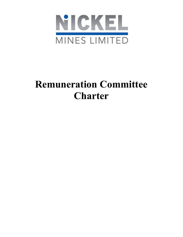

# Remuneration Committee Charter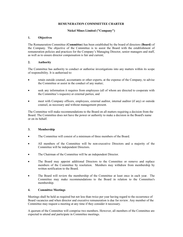## REMUNERATION COMMMITTEE CHARTER

## Nickel Mines Limited ("Company")

### 1. Objectives

The Remuneration Committee (Committee) has been established by the board of directors (Board) of the Company. The objective of the Committee is to assist the Board with the establishment of remuneration policies and practices for the Company's Managing Director, senior managers and staff, as well as to ensure director compensation is fair and current;

## 2. Authority

The Committee has authority to conduct or authorise investigations into any matters within its scope of responsibility. It is authorised to:

- retain outside counsel, accountants or other experts, at the expense of the Company, to advise the Committee or assist in the conduct of any matter;
- seek any information it requires from employees (all of whom are directed to cooperate with the Committee's requests) or external parties; and
- meet with Company officers, employees, external auditor, internal auditor (if any) or outside counsel, as necessary and without management present.

The Committee will make recommendations to the Board on all matters requiring a decision from the Board. The Committee does not have the power or authority to make a decision in the Board's name or on its behalf.

#### 3. Membership

- The Committee will consist of a minimum of three members of the Board.
- All members of the Committee will be non-executive Directors and a majority of the Committee will be independent Directors.
- The Chairman of the Committee will be an independent Director.
- The Board may appoint additional Directors to the Committee or remove and replace members of the Committee by resolution. Members may withdraw from membership by written notification to the Board.
- The Board will review the membership of the Committee at least once in each year. The Committee may make recommendations to the Board in relation to the Committee's membership.

#### 4. Committee Meetings

Meetings shall be held as required but not less than twice per year having regard to the occurrence of Board vacancies and when director and executive remuneration is due for review. Any member of the Committee may request a meeting at any time if they consider it necessary.

A quorum of the Committee will comprise two members. However, all members of the Committee are expected to attend and participate in Committee meetings.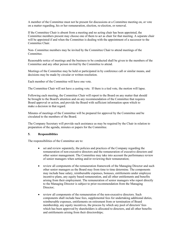A member of the Committee must not be present for discussions at a Committee meeting on, or vote on a matter regarding, his or her remuneration, election, re-election, or removal.

If the Committee Chair is absent from a meeting and no acting chair has been appointed, the Committee members present may choose one of them to act as chair for that meeting. A separate chair will be appointed if and when the Committee is dealing with the appointment of a successor to the Committee Chair.

Non- Committee members may be invited by the Committee Chair to attend meetings of the Committee.

Reasonable notice of meetings and the business to be conducted shall be given to the members of the Committee and any other person invited by the Committee to attend.

Meetings of the Committee may be held or participated in by conference call or similar means, and decisions may be made by circular or written resolution.

Each member of the Committee will have one vote.

The Committee Chair will not have a casting vote. If there is a tied vote, the motion will lapse.

Following each meeting, the Committee Chair will report to the Board on any matter that should be brought to the Board's attention and on any recommendation of the Committee that requires Board approval or action, and provide the Board with sufficient information upon which to make a decision in that regard.

Minutes of meetings of the Committee will be prepared for approval by the Committee and be circulated to the members of the Board.

The Company Secretary will provide such assistance as may be required by the Chair in relation to preparation of the agenda, minutes or papers for the Committee.

#### 5. Responsiblities

The responsibilities of the Committee are to:

- set and review separately, the policies and practices of the Company regarding the remuneration of non-executive directors and the remuneration of executive directors and other senior management. The Committee may take into account the performance review of senior managers when setting and/or reviewing their remuneration;
- review all components of the remuneration framework of the Managing Director and such other senior managers as the Board may from time to time determine. The components may include base salary, reimbursable expenses, bonuses, entitlements under employee incentive plans, any equity based remuneration, and all other entitlements and benefits arising from their employment. The remuneration of senior managers who report directly to the Managing Director is subject to prior recommendation from the Managing Director;
- review all components of the remuneration of the non-executive directors. Such components shall include base fees, supplemental fees for undertaking additional duties, reimbursable expenses, entitlements on retirement from or termination of Board membership, any equity incentives, the process by which any pool of directors' fees which has been approved by shareholders is allocated to directors, and all other benefits and entitlements arising from their directorships;